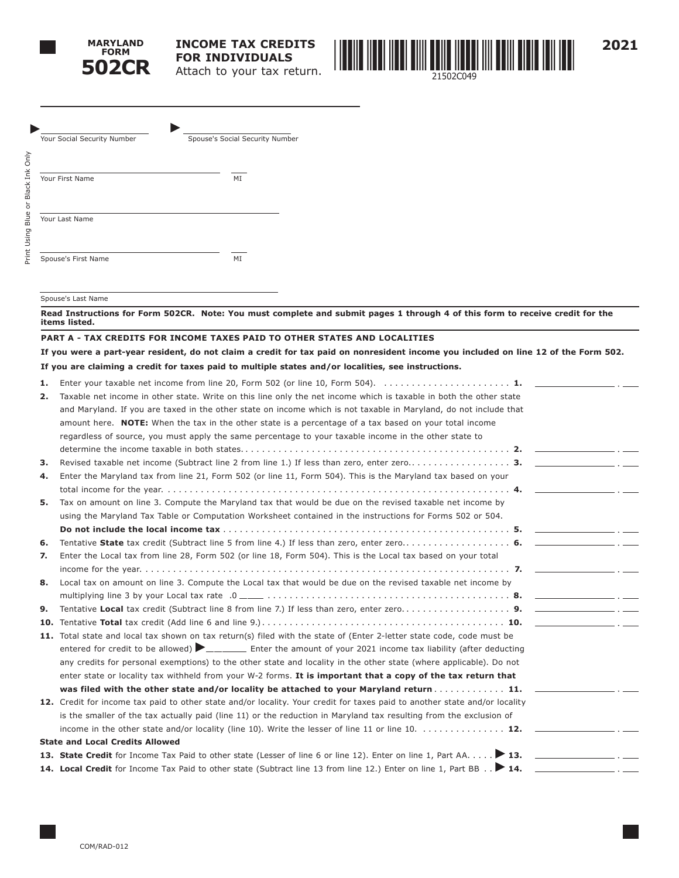



**2021**

| Your Social Security Number | Spouse's Social Security Number |
|-----------------------------|---------------------------------|
| Your First Name             | MI                              |
| Your Last Name              |                                 |
| Spouse's First Name         | MI                              |

#### Spouse's Last Name

**Read Instructions for Form 502CR. Note: You must complete and submit pages 1 through 4 of this form to receive credit for the items listed.** 

#### **PART A - TAX CREDITS FOR INCOME TAXES PAID TO OTHER STATES AND LOCALITIES**

**If you were a part-year resident, do not claim a credit for tax paid on nonresident income you included on line 12 of the Form 502. If you are claiming a credit for taxes paid to multiple states and/or localities, see instructions.**

| 1.  |                                                                                                                                                                 |
|-----|-----------------------------------------------------------------------------------------------------------------------------------------------------------------|
| 2.  | Taxable net income in other state. Write on this line only the net income which is taxable in both the other state                                              |
|     | and Maryland. If you are taxed in the other state on income which is not taxable in Maryland, do not include that                                               |
|     | amount here. <b>NOTE:</b> When the tax in the other state is a percentage of a tax based on your total income                                                   |
|     | regardless of source, you must apply the same percentage to your taxable income in the other state to                                                           |
|     |                                                                                                                                                                 |
| з.  |                                                                                                                                                                 |
| 4.  | Enter the Maryland tax from line 21, Form 502 (or line 11, Form 504). This is the Maryland tax based on your                                                    |
|     |                                                                                                                                                                 |
| 5.  | Tax on amount on line 3. Compute the Maryland tax that would be due on the revised taxable net income by                                                        |
|     | using the Maryland Tax Table or Computation Worksheet contained in the instructions for Forms 502 or 504.                                                       |
|     |                                                                                                                                                                 |
| 6.  |                                                                                                                                                                 |
| 7.  | Enter the Local tax from line 28, Form 502 (or line 18, Form 504). This is the Local tax based on your total                                                    |
|     |                                                                                                                                                                 |
| 8.  | Local tax on amount on line 3. Compute the Local tax that would be due on the revised taxable net income by                                                     |
|     |                                                                                                                                                                 |
| 9.  |                                                                                                                                                                 |
| 10. | Tentative Total tax credit (Add line 6 and line 9.) $\ldots$ $\ldots$ $\ldots$ $\ldots$ $\ldots$ $\ldots$ $\ldots$ $\ldots$ $\ldots$ $\ldots$ $\ldots$ $\ldots$ |
|     | 11. Total state and local tax shown on tax return(s) filed with the state of (Enter 2-letter state code, code must be                                           |
|     | entered for credit to be allowed) $\blacktriangleright$ _____ Enter the amount of your 2021 income tax liability (after deducting                               |
|     | any credits for personal exemptions) to the other state and locality in the other state (where applicable). Do not                                              |
|     | enter state or locality tax withheld from your W-2 forms. It is important that a copy of the tax return that                                                    |
|     | was filed with the other state and/or locality be attached to your Maryland return 11.                                                                          |
|     | 12. Credit for income tax paid to other state and/or locality. Your credit for taxes paid to another state and/or locality                                      |
|     | is the smaller of the tax actually paid (line 11) or the reduction in Maryland tax resulting from the exclusion of                                              |
|     | income in the other state and/or locality (line 10). Write the lesser of line 11 or line 10. $\dots\dots\dots\dots$                                             |
|     | <b>State and Local Credits Allowed</b>                                                                                                                          |
|     | 13. State Credit for Income Tax Paid to other state (Lesser of line 6 or line 12). Enter on line 1, Part AA 13.                                                 |
|     | 14. Local Credit for Income Tax Paid to other state (Subtract line 13 from line 12.) Enter on line 1, Part BB 14. ____________________.                         |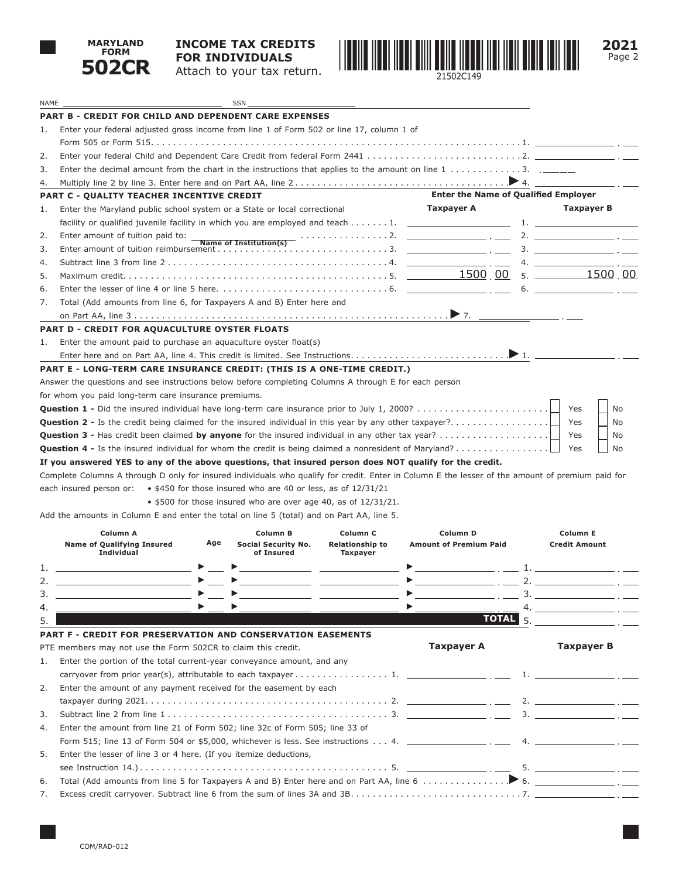

NAME SSN

### **INCOME TAX CREDITS FOR INDIVIDUALS** Attach to your tax return.



**2021** Page 2

|    | <b>PART B - CREDIT FOR CHILD AND DEPENDENT CARE EXPENSES</b>                                                                                                                                                                                                                                                                                                                 |                                                                            |                                             |                      |
|----|------------------------------------------------------------------------------------------------------------------------------------------------------------------------------------------------------------------------------------------------------------------------------------------------------------------------------------------------------------------------------|----------------------------------------------------------------------------|---------------------------------------------|----------------------|
| 1. | Enter your federal adjusted gross income from line 1 of Form 502 or line 17, column 1 of                                                                                                                                                                                                                                                                                     |                                                                            |                                             |                      |
|    |                                                                                                                                                                                                                                                                                                                                                                              |                                                                            |                                             |                      |
| 2. |                                                                                                                                                                                                                                                                                                                                                                              |                                                                            |                                             |                      |
| 3. | Enter the decimal amount from the chart in the instructions that applies to the amount on line $1, \ldots, \ldots, 3, 2, \ldots$                                                                                                                                                                                                                                             |                                                                            |                                             |                      |
| 4. |                                                                                                                                                                                                                                                                                                                                                                              |                                                                            |                                             |                      |
|    | <b>PART C - QUALITY TEACHER INCENTIVE CREDIT</b>                                                                                                                                                                                                                                                                                                                             |                                                                            | <b>Enter the Name of Qualified Employer</b> |                      |
| 1. | Enter the Maryland public school system or a State or local correctional                                                                                                                                                                                                                                                                                                     |                                                                            | Taxpayer A                                  | Taxpayer B           |
|    |                                                                                                                                                                                                                                                                                                                                                                              |                                                                            |                                             |                      |
| 2. |                                                                                                                                                                                                                                                                                                                                                                              |                                                                            |                                             |                      |
| 3. |                                                                                                                                                                                                                                                                                                                                                                              |                                                                            |                                             |                      |
| 4. |                                                                                                                                                                                                                                                                                                                                                                              |                                                                            |                                             |                      |
| 5. |                                                                                                                                                                                                                                                                                                                                                                              |                                                                            |                                             |                      |
| 6. |                                                                                                                                                                                                                                                                                                                                                                              |                                                                            |                                             |                      |
| 7. | Total (Add amounts from line 6, for Taxpayers A and B) Enter here and                                                                                                                                                                                                                                                                                                        |                                                                            |                                             |                      |
|    |                                                                                                                                                                                                                                                                                                                                                                              |                                                                            |                                             |                      |
|    | <b>PART D - CREDIT FOR AQUACULTURE OYSTER FLOATS</b>                                                                                                                                                                                                                                                                                                                         |                                                                            |                                             |                      |
| 1. | Enter the amount paid to purchase an aquaculture oyster float(s)                                                                                                                                                                                                                                                                                                             |                                                                            |                                             |                      |
|    |                                                                                                                                                                                                                                                                                                                                                                              |                                                                            |                                             |                      |
|    | PART E - LONG-TERM CARE INSURANCE CREDIT: (THIS IS A ONE-TIME CREDIT.)                                                                                                                                                                                                                                                                                                       |                                                                            |                                             |                      |
|    | Answer the questions and see instructions below before completing Columns A through E for each person                                                                                                                                                                                                                                                                        |                                                                            |                                             |                      |
|    | for whom you paid long-term care insurance premiums.                                                                                                                                                                                                                                                                                                                         |                                                                            |                                             |                      |
|    | <b>Question 1 -</b> Did the insured individual have long-term care insurance prior to July 1, 2000?                                                                                                                                                                                                                                                                          |                                                                            |                                             | Yes<br>No            |
|    |                                                                                                                                                                                                                                                                                                                                                                              |                                                                            |                                             | Yes<br>No            |
|    | <b>Question 3 -</b> Has credit been claimed by anyone for the insured individual in any other tax year?                                                                                                                                                                                                                                                                      |                                                                            |                                             | Yes<br>No            |
|    | <b>Question 4 -</b> Is the insured individual for whom the credit is being claimed a nonresident of Maryland?                                                                                                                                                                                                                                                                |                                                                            |                                             | Yes<br>No            |
|    | If you answered YES to any of the above questions, that insured person does NOT qualify for the credit.                                                                                                                                                                                                                                                                      |                                                                            |                                             |                      |
|    | Complete Columns A through D only for insured individuals who qualify for credit. Enter in Column E the lesser of the amount of premium paid for                                                                                                                                                                                                                             |                                                                            |                                             |                      |
|    | • \$450 for those insured who are 40 or less, as of 12/31/21<br>each insured person or:                                                                                                                                                                                                                                                                                      |                                                                            |                                             |                      |
|    | $\bullet$ \$500 for those insured who are over age 40, as of 12/31/21.                                                                                                                                                                                                                                                                                                       |                                                                            |                                             |                      |
|    | Add the amounts in Column E and enter the total on line 5 (total) and on Part AA, line 5.                                                                                                                                                                                                                                                                                    |                                                                            |                                             |                      |
|    | Column A<br>Column B                                                                                                                                                                                                                                                                                                                                                         | Column <sub>C</sub>                                                        | Column D                                    | <b>Column E</b>      |
|    | Age<br><b>Name of Qualifying Insured</b><br>Social Security No.                                                                                                                                                                                                                                                                                                              | <b>Relationship to</b>                                                     | <b>Amount of Premium Paid</b>               | <b>Credit Amount</b> |
|    | <b>Individual</b><br>of Insured                                                                                                                                                                                                                                                                                                                                              | <b>Taxpayer</b>                                                            |                                             |                      |
| 1. | <u> 1989 - Andrea Stadt, fransk politiker (d. 1989)</u>                                                                                                                                                                                                                                                                                                                      | the control of the control of the control of the control of the control of |                                             |                      |
| 2. | $\blacktriangleright$<br>$\begin{picture}(20,10) \put(0,0){\line(1,0){10}} \put(15,0){\line(1,0){10}} \put(15,0){\line(1,0){10}} \put(15,0){\line(1,0){10}} \put(15,0){\line(1,0){10}} \put(15,0){\line(1,0){10}} \put(15,0){\line(1,0){10}} \put(15,0){\line(1,0){10}} \put(15,0){\line(1,0){10}} \put(15,0){\line(1,0){10}} \put(15,0){\line(1,0){10}} \put(15,0){\line(1$ |                                                                            |                                             |                      |
| 3. | $\blacktriangleright$                                                                                                                                                                                                                                                                                                                                                        |                                                                            | $\blacktriangleright$                       |                      |
|    |                                                                                                                                                                                                                                                                                                                                                                              |                                                                            |                                             | 4.                   |
| 5. |                                                                                                                                                                                                                                                                                                                                                                              |                                                                            | TOTAL <sub>5</sub>                          |                      |
|    | PART F - CREDIT FOR PRESERVATION AND CONSERVATION EASEMENTS                                                                                                                                                                                                                                                                                                                  |                                                                            |                                             |                      |
|    | PTE members may not use the Form 502CR to claim this credit.                                                                                                                                                                                                                                                                                                                 |                                                                            | <b>Taxpayer A</b>                           | <b>Taxpayer B</b>    |
| 1. | Enter the portion of the total current-year conveyance amount, and any                                                                                                                                                                                                                                                                                                       |                                                                            |                                             |                      |
|    |                                                                                                                                                                                                                                                                                                                                                                              |                                                                            |                                             |                      |
| 2. | Enter the amount of any payment received for the easement by each                                                                                                                                                                                                                                                                                                            |                                                                            |                                             |                      |
|    |                                                                                                                                                                                                                                                                                                                                                                              |                                                                            |                                             |                      |
| 3. |                                                                                                                                                                                                                                                                                                                                                                              |                                                                            |                                             |                      |
| 4. | Enter the amount from line 21 of Form 502; line 32c of Form 505; line 33 of                                                                                                                                                                                                                                                                                                  |                                                                            |                                             |                      |
|    | Form 515; line 13 of Form 504 or \$5,000, whichever is less. See instructions 4. _____________________.                                                                                                                                                                                                                                                                      |                                                                            |                                             | 4.                   |
| 5. | Enter the lesser of line 3 or 4 here. (If you itemize deductions,                                                                                                                                                                                                                                                                                                            |                                                                            |                                             |                      |
|    |                                                                                                                                                                                                                                                                                                                                                                              |                                                                            |                                             |                      |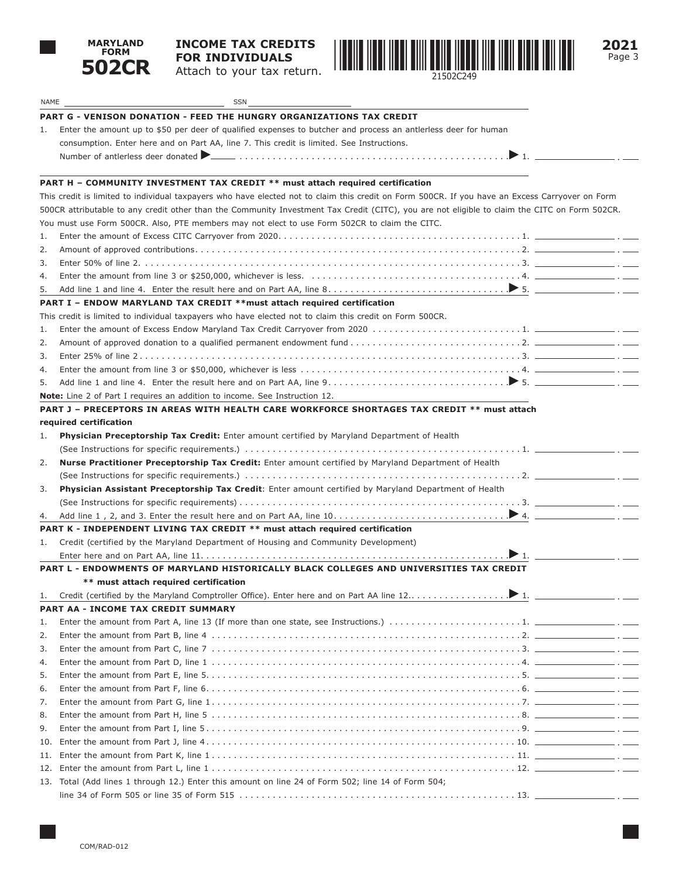

# **INCOME TAX CREDITS FOR INDIVIDUALS**

Attach to your tax return.



**2021** Page 3

| NAME | SSN                                                                                                                                             |
|------|-------------------------------------------------------------------------------------------------------------------------------------------------|
|      | <b>PART G - VENISON DONATION - FEED THE HUNGRY ORGANIZATIONS TAX CREDIT</b>                                                                     |
| ı.   | Enter the amount up to \$50 per deer of qualified expenses to butcher and process an antierless deer for human                                  |
|      | consumption. Enter here and on Part AA, line 7. This credit is limited. See Instructions.                                                       |
|      |                                                                                                                                                 |
|      |                                                                                                                                                 |
|      | PART H - COMMUNITY INVESTMENT TAX CREDIT ** must attach required certification                                                                  |
|      | This credit is limited to individual taxpayers who have elected not to claim this credit on Form 500CR. If you have an Excess Carryover on Form |
|      | 500CR attributable to any credit other than the Community Investment Tax Credit (CITC), you are not eligible to claim the CITC on Form 502CR.   |
|      | You must use Form 500CR. Also, PTE members may not elect to use Form 502CR to claim the CITC.                                                   |
| 1.   |                                                                                                                                                 |
| 2.   |                                                                                                                                                 |
| 3.   |                                                                                                                                                 |
| 4.   |                                                                                                                                                 |
| 5.   |                                                                                                                                                 |
|      | PART I - ENDOW MARYLAND TAX CREDIT ** must attach required certification                                                                        |
|      | This credit is limited to individual taxpayers who have elected not to claim this credit on Form 500CR.                                         |
| 1.   |                                                                                                                                                 |
| 2.   |                                                                                                                                                 |
| 3.   |                                                                                                                                                 |
| 4.   |                                                                                                                                                 |
| 5.   |                                                                                                                                                 |
|      | <b>Note:</b> Line 2 of Part I requires an addition to income. See Instruction 12.                                                               |
|      | PART J - PRECEPTORS IN AREAS WITH HEALTH CARE WORKFORCE SHORTAGES TAX CREDIT ** must attach                                                     |
|      | required certification                                                                                                                          |
| 1.   | Physician Preceptorship Tax Credit: Enter amount certified by Maryland Department of Health                                                     |
|      |                                                                                                                                                 |
| 2.   | Nurse Practitioner Preceptorship Tax Credit: Enter amount certified by Maryland Department of Health                                            |
|      |                                                                                                                                                 |
| 3.   | Physician Assistant Preceptorship Tax Credit: Enter amount certified by Maryland Department of Health                                           |
|      |                                                                                                                                                 |
| 4.   |                                                                                                                                                 |
|      | PART K - INDEPENDENT LIVING TAX CREDIT ** must attach required certification                                                                    |
| 1.   | Credit (certified by the Maryland Department of Housing and Community Development)                                                              |
|      |                                                                                                                                                 |
|      | PART L - ENDOWMENTS OF MARYLAND HISTORICALLY BLACK COLLEGES AND UNIVERSITIES TAX CREDIT                                                         |
|      | ** must attach required certification                                                                                                           |
| 1.   |                                                                                                                                                 |
|      | PART AA - INCOME TAX CREDIT SUMMARY                                                                                                             |
| 1.   |                                                                                                                                                 |
| 2.   |                                                                                                                                                 |
| 3.   |                                                                                                                                                 |
| 4.   |                                                                                                                                                 |
| 5.   |                                                                                                                                                 |
| 6.   |                                                                                                                                                 |
| 7.   |                                                                                                                                                 |
| 8.   |                                                                                                                                                 |
| 9.   |                                                                                                                                                 |
| 10.  |                                                                                                                                                 |
| 11.  |                                                                                                                                                 |
| 12.  |                                                                                                                                                 |
|      | 13. Total (Add lines 1 through 12.) Enter this amount on line 24 of Form 502; line 14 of Form 504;                                              |
|      |                                                                                                                                                 |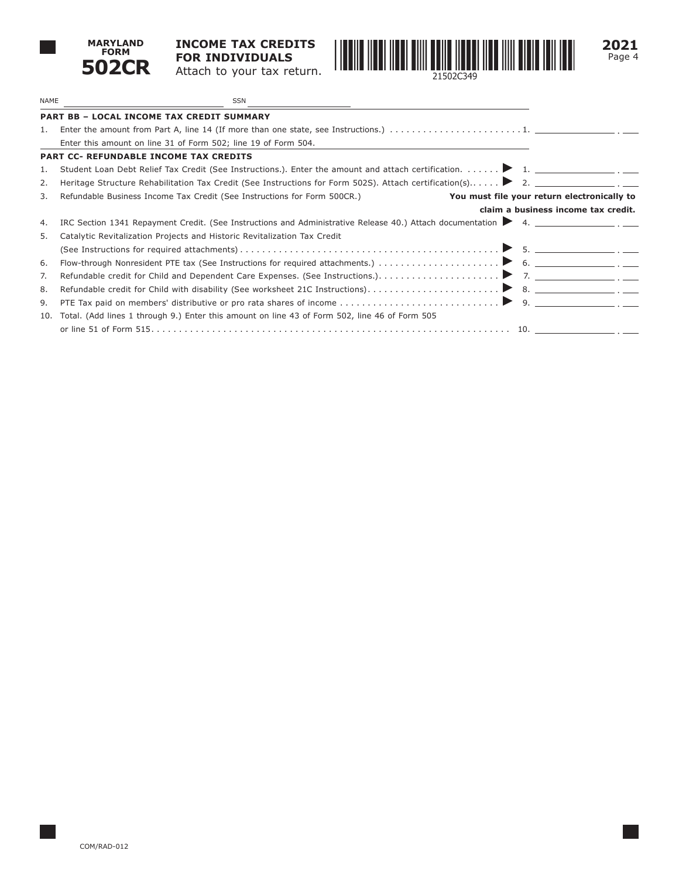

**INCOME TAX CREDITS FOR INDIVIDUALS** Attach to your tax return.



**2021** Page 4

| <b>NAME</b> | SSN                                                                                                                               |                                             |
|-------------|-----------------------------------------------------------------------------------------------------------------------------------|---------------------------------------------|
|             | <b>PART BB - LOCAL INCOME TAX CREDIT SUMMARY</b>                                                                                  |                                             |
| 1.          |                                                                                                                                   |                                             |
|             | Enter this amount on line 31 of Form 502; line 19 of Form 504.                                                                    |                                             |
|             | <b>PART CC- REFUNDABLE INCOME TAX CREDITS</b>                                                                                     |                                             |
| 1.          | Student Loan Debt Relief Tax Credit (See Instructions.). Enter the amount and attach certification. > 1.                          |                                             |
| 2.          | Heritage Structure Rehabilitation Tax Credit (See Instructions for Form 502S). Attach certification(s) ▶ 2. __________________. _ |                                             |
| 3.          | Refundable Business Income Tax Credit (See Instructions for Form 500CR.)                                                          | You must file your return electronically to |
|             |                                                                                                                                   | claim a business income tax credit.         |
| 4.          | IRC Section 1341 Repayment Credit. (See Instructions and Administrative Release 40.) Attach documentation > 4.                    |                                             |
| 5.          | Catalytic Revitalization Projects and Historic Revitalization Tax Credit                                                          |                                             |
|             |                                                                                                                                   |                                             |
| 6.          |                                                                                                                                   |                                             |
| 7.          |                                                                                                                                   |                                             |
| 8.          |                                                                                                                                   |                                             |
| 9.          |                                                                                                                                   |                                             |
| 10.         | Total. (Add lines 1 through 9.) Enter this amount on line 43 of Form 502, line 46 of Form 505                                     |                                             |
|             |                                                                                                                                   |                                             |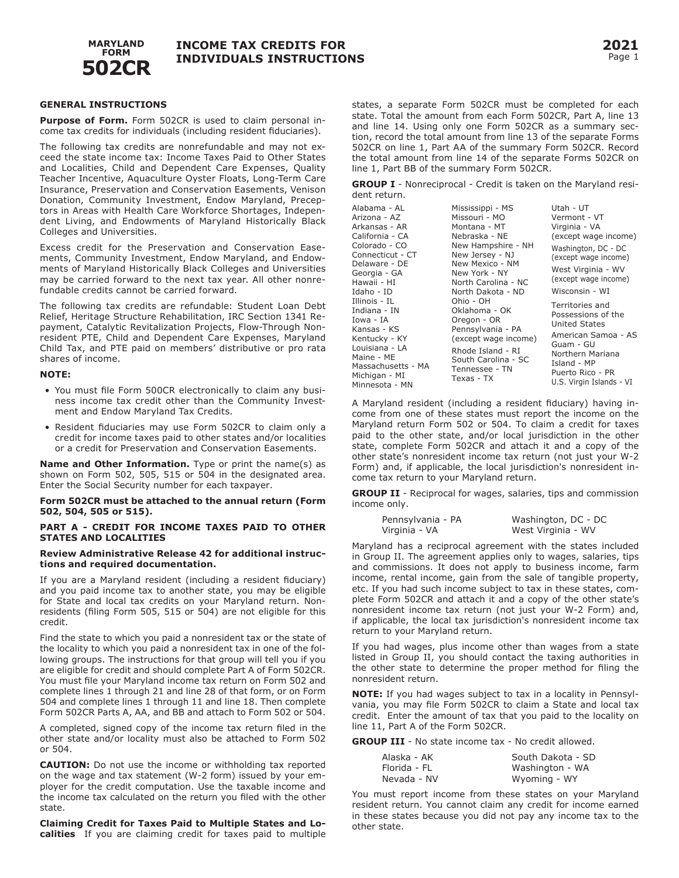

#### **GENERAL INSTRUCTIONS**

**Purpose of Form.** Form 502CR is used to claim personal income tax credits for individuals (including resident fiduciaries).

The following tax credits are nonrefundable and may not exceed the state income tax: Income Taxes Paid to Other States and Localities, Child and Dependent Care Expenses, Quality Teacher Incentive, Aquaculture Oyster Floats, Long-Term Care Insurance, Preservation and Conservation Easements, Venison Donation, Community Investment, Endow Maryland, Preceptors in Areas with Health Care Workforce Shortages, Independent Living, and Endowments of Maryland Historically Black Colleges and Universities.

Excess credit for the Preservation and Conservation Easements, Community Investment, Endow Maryland, and Endowments of Maryland Historically Black Colleges and Universities may be carried forward to the next tax year. All other nonrefundable credits cannot be carried forward.

The following tax credits are refundable: Student Loan Debt Relief, Heritage Structure Rehabilitation, IRC Section 1341 Repayment, Catalytic Revitalization Projects, Flow-Through Nonresident PTE, Child and Dependent Care Expenses, Maryland Child Tax, and PTE paid on members' distributive or pro rata shares of income.

#### **NOTE:**

- You must file Form 500CR electronically to claim any business income tax credit other than the Community Investment and Endow Maryland Tax Credits.
- Resident fiduciaries may use Form 502CR to claim only a credit for income taxes paid to other states and/or localities or a credit for Preservation and Conservation Easements.

**Name and Other Information.** Type or print the name(s) as shown on Form 502, 505, 515 or 504 in the designated area. Enter the Social Security number for each taxpayer.

#### **Form 502CR must be attached to the annual return (Form 502, 504, 505 or 515).**

#### **PART A - CREDIT FOR INCOME TAXES PAID TO OTHER STATES AND LOCALITIES**

#### **Review Administrative Release 42 for additional instructions and required documentation.**

If you are a Maryland resident (including a resident fiduciary) and you paid income tax to another state, you may be eligible for State and local tax credits on your Maryland return. Nonresidents (filing Form 505, 515 or 504) are not eligible for this credit.

Find the state to which you paid a nonresident tax or the state of the locality to which you paid a nonresident tax in one of the following groups. The instructions for that group will tell you if you are eligible for credit and should complete Part A of Form 502CR. You must file your Maryland income tax return on Form 502 and complete lines 1 through 21 and line 28 of that form, or on Form 504 and complete lines 1 through 11 and line 18. Then complete Form 502CR Parts A, AA, and BB and attach to Form 502 or 504.

A completed, signed copy of the income tax return filed in the other state and/or locality must also be attached to Form 502 or 504.

**CAUTION:** Do not use the income or withholding tax reported on the wage and tax statement (W-2 form) issued by your employer for the credit computation. Use the taxable income and the income tax calculated on the return you filed with the other state.

**Claiming Credit for Taxes Paid to Multiple States and Localities** If you are claiming credit for taxes paid to multiple states, a separate Form 502CR must be completed for each state. Total the amount from each Form 502CR, Part A, line 13 and line 14. Using only one Form 502CR as a summary section, record the total amount from line 13 of the separate Forms 502CR on line 1, Part AA of the summary Form 502CR. Record the total amount from line 14 of the separate Forms 502CR on line 1, Part BB of the summary Form 502CR.

**GROUP I** - Nonreciprocal - Credit is taken on the Maryland resident return.

| Mississippi - MS    | Utah - UT                                                                                        |
|---------------------|--------------------------------------------------------------------------------------------------|
| Missouri - MO       | Vermont - VT                                                                                     |
| Montana - MT        | Virginia - VA                                                                                    |
| Nebraska - NE       | (except wage income)                                                                             |
| New Hampshire - NH  | Washington, DC - DC                                                                              |
| New Jersey - NJ     | (except wage income)                                                                             |
| New Mexico - NM     |                                                                                                  |
| New York - NY       | West Virginia - WV                                                                               |
| North Carolina - NC | (except wage income)                                                                             |
| North Dakota - ND   | Wisconsin - WI                                                                                   |
| Ohio - OH           | Territories and                                                                                  |
| Oklahoma - OK       | Possessions of the                                                                               |
| Oregon - OR         | <b>United States</b>                                                                             |
| Pennsylvania - PA   |                                                                                                  |
|                     | American Samoa - AS                                                                              |
|                     | Guam - GU                                                                                        |
|                     | Northern Mariana                                                                                 |
|                     | Island - MP                                                                                      |
|                     | Puerto Rico - PR                                                                                 |
|                     | U.S. Virgin Islands - VI                                                                         |
|                     | (except wage income)<br>Rhode Island - RI<br>South Carolina - SC<br>Tennessee - TN<br>Texas - TX |

A Maryland resident (including a resident fiduciary) having income from one of these states must report the income on the Maryland return Form 502 or 504. To claim a credit for taxes paid to the other state, and/or local jurisdiction in the other state, complete Form 502CR and attach it and a copy of the other state's nonresident income tax return (not just your W-2 Form) and, if applicable, the local jurisdiction's nonresident income tax return to your Maryland return.

**GROUP II** - Reciprocal for wages, salaries, tips and commission income only.

| Pennsylvania - PA | Washington, DC - DC |
|-------------------|---------------------|
| Virginia - VA     | West Virginia - WV  |

Maryland has a reciprocal agreement with the states included in Group II. The agreement applies only to wages, salaries, tips and commissions. It does not apply to business income, farm income, rental income, gain from the sale of tangible property, etc. If you had such income subject to tax in these states, complete Form 502CR and attach it and a copy of the other state's nonresident income tax return (not just your W-2 Form) and, if applicable, the local tax jurisdiction's nonresident income tax return to your Maryland return.

If you had wages, plus income other than wages from a state listed in Group II, you should contact the taxing authorities in the other state to determine the proper method for filing the nonresident return.

**NOTE:** If you had wages subject to tax in a locality in Pennsylvania, you may file Form 502CR to claim a State and local tax credit. Enter the amount of tax that you paid to the locality on line 11, Part A of the Form 502CR.

**GROUP III** - No state income tax - No credit allowed.

| Alaska - AK  | South Dakota - SD |
|--------------|-------------------|
| Florida - FL | Washington - WA   |
| Nevada - NV  | Wyoming - WY      |

You must report income from these states on your Maryland resident return. You cannot claim any credit for income earned in these states because you did not pay any income tax to the other state.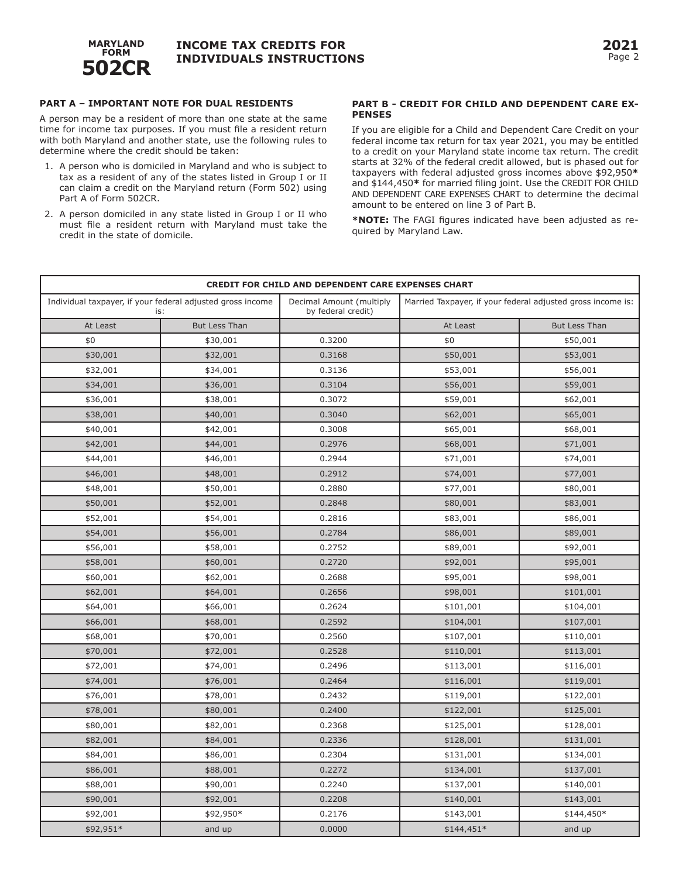

### **PART A – IMPORTANT NOTE FOR DUAL RESIDENTS**

A person may be a resident of more than one state at the same time for income tax purposes. If you must file a resident return with both Maryland and another state, use the following rules to determine where the credit should be taken:

- 1. A person who is domiciled in Maryland and who is subject to tax as a resident of any of the states listed in Group I or II can claim a credit on the Maryland return (Form 502) using Part A of Form 502CR.
- 2. A person domiciled in any state listed in Group I or II who must file a resident return with Maryland must take the credit in the state of domicile.

#### **PART B - CREDIT FOR CHILD AND DEPENDENT CARE EX-PENSES**

If you are eligible for a Child and Dependent Care Credit on your federal income tax return for tax year 2021, you may be entitled to a credit on your Maryland state income tax return. The credit starts at 32% of the federal credit allowed, but is phased out for taxpayers with federal adjusted gross incomes above \$92,950**\*** and \$144,450**\*** for married filing joint. Use the CREDIT FOR CHILD AND DEPENDENT CARE EXPENSES CHART to determine the decimal amount to be entered on line 3 of Part B.

**\*NOTE:** The FAGI figures indicated have been adjusted as required by Maryland Law.

| <b>CREDIT FOR CHILD AND DEPENDENT CARE EXPENSES CHART</b>         |                      |                                                |                                                             |                      |
|-------------------------------------------------------------------|----------------------|------------------------------------------------|-------------------------------------------------------------|----------------------|
| Individual taxpayer, if your federal adjusted gross income<br>is: |                      | Decimal Amount (multiply<br>by federal credit) | Married Taxpayer, if your federal adjusted gross income is: |                      |
| At Least                                                          | <b>But Less Than</b> |                                                | At Least                                                    | <b>But Less Than</b> |
| \$0                                                               | \$30,001             | 0.3200                                         | \$0                                                         | \$50,001             |
| \$30,001                                                          | \$32,001             | 0.3168                                         | \$50,001                                                    | \$53,001             |
| \$32,001                                                          | \$34,001             | 0.3136                                         | \$53,001                                                    | \$56,001             |
| \$34,001                                                          | \$36,001             | 0.3104                                         | \$56,001                                                    | \$59,001             |
| \$36,001                                                          | \$38,001             | 0.3072                                         | \$59,001                                                    | \$62,001             |
| \$38,001                                                          | \$40,001             | 0.3040                                         | \$62,001                                                    | \$65,001             |
| \$40,001                                                          | \$42,001             | 0.3008                                         | \$65,001                                                    | \$68,001             |
| \$42,001                                                          | \$44,001             | 0.2976                                         | \$68,001                                                    | \$71,001             |
| \$44,001                                                          | \$46,001             | 0.2944                                         | \$71,001                                                    | \$74,001             |
| \$46,001                                                          | \$48,001             | 0.2912                                         | \$74,001                                                    | \$77,001             |
| \$48,001                                                          | \$50,001             | 0.2880                                         | \$77,001                                                    | \$80,001             |
| \$50,001                                                          | \$52,001             | 0.2848                                         | \$80,001                                                    | \$83,001             |
| \$52,001                                                          | \$54,001             | 0.2816                                         | \$83,001                                                    | \$86,001             |
| \$54,001                                                          | \$56,001             | 0.2784                                         | \$86,001                                                    | \$89,001             |
| \$56,001                                                          | \$58,001             | 0.2752                                         | \$89,001                                                    | \$92,001             |
| \$58,001                                                          | \$60,001             | 0.2720                                         | \$92,001                                                    | \$95,001             |
| \$60,001                                                          | \$62,001             | 0.2688                                         | \$95,001                                                    | \$98,001             |
| \$62,001                                                          | \$64,001             | 0.2656                                         | \$98,001                                                    | \$101,001            |
| \$64,001                                                          | \$66,001             | 0.2624                                         | \$101,001                                                   | \$104,001            |
| \$66,001                                                          | \$68,001             | 0.2592                                         | \$104,001                                                   | \$107,001            |
| \$68,001                                                          | \$70,001             | 0.2560                                         | \$107,001                                                   | \$110,001            |
| \$70,001                                                          | \$72,001             | 0.2528                                         | \$110,001                                                   | \$113,001            |
| \$72,001                                                          | \$74,001             | 0.2496                                         | \$113,001                                                   | \$116,001            |
| \$74,001                                                          | \$76,001             | 0.2464                                         | \$116,001                                                   | \$119,001            |
| \$76,001                                                          | \$78,001             | 0.2432                                         | \$119,001                                                   | \$122,001            |
| \$78,001                                                          | \$80,001             | 0.2400                                         | \$122,001                                                   | \$125,001            |
| \$80,001                                                          | \$82,001             | 0.2368                                         | \$125,001                                                   | \$128,001            |
| \$82,001                                                          | \$84,001             | 0.2336                                         | \$128,001                                                   | \$131,001            |
| \$84,001                                                          | \$86,001             | 0.2304                                         | \$131,001                                                   | \$134,001            |
| \$86,001                                                          | \$88,001             | 0.2272                                         | \$134,001                                                   | \$137,001            |
| \$88,001                                                          | \$90,001             | 0.2240                                         | \$137,001                                                   | \$140,001            |
| \$90,001                                                          | \$92,001             | 0.2208                                         | \$140,001                                                   | \$143,001            |
| \$92,001                                                          | \$92,950*            | 0.2176                                         | \$143,001                                                   | \$144,450*           |
| \$92,951*                                                         | and up               | 0.0000                                         | $$144,451*$                                                 | and up               |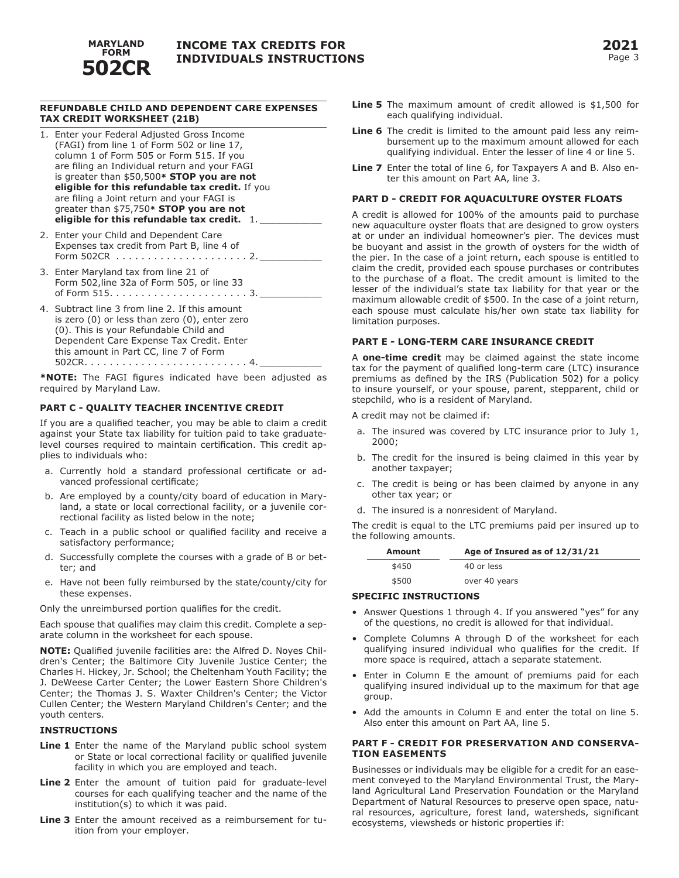

#### **REFUNDABLE CHILD AND DEPENDENT CARE EXPENSES TAX CREDIT WORKSHEET (21B)**

- 1. Enter your Federal Adjusted Gross Income (FAGI) from line 1 of Form 502 or line 17, column 1 of Form 505 or Form 515. If you are filing an Individual return and your FAGI is greater than \$50,500**\* STOP you are not eligible for this refundable tax credit.** If you are filing a Joint return and your FAGI is greater than \$75,750**\* STOP you are not eligible for this refundable tax credit.** 1. \_\_\_\_\_\_\_\_\_\_\_
- 2. Enter your Child and Dependent Care Expenses tax credit from Part B, line 4 of Form 502CR. . . 2. \_\_\_\_\_\_\_\_\_\_\_
- 3. Enter Maryland tax from line 21 of Form 502,line 32a of Form 505, or line 33 of Form 515. . . 3. \_\_\_\_\_\_\_\_\_\_\_
- 4. Subtract line 3 from line 2. If this amount is zero (0) or less than zero (0), enter zero (0). This is your Refundable Child and Dependent Care Expense Tax Credit. Enter this amount in Part CC, line 7 of Form 502CR. . . 4. \_\_\_\_\_\_\_\_\_\_\_

**\*NOTE:** The FAGI figures indicated have been adjusted as required by Maryland Law.

#### **PART C - QUALITY TEACHER INCENTIVE CREDIT**

If you are a qualified teacher, you may be able to claim a credit against your State tax liability for tuition paid to take graduatelevel courses required to maintain certification. This credit applies to individuals who:

- a. Currently hold a standard professional certificate or advanced professional certificate;
- b. Are employed by a county/city board of education in Maryland, a state or local correctional facility, or a juvenile correctional facility as listed below in the note;
- c. Teach in a public school or qualified facility and receive a satisfactory performance;
- d. Successfully complete the courses with a grade of B or better; and
- e. Have not been fully reimbursed by the state/county/city for these expenses.

Only the unreimbursed portion qualifies for the credit.

Each spouse that qualifies may claim this credit. Complete a separate column in the worksheet for each spouse.

**NOTE:** Qualified juvenile facilities are: the Alfred D. Noyes Children's Center; the Baltimore City Juvenile Justice Center; the Charles H. Hickey, Jr. School; the Cheltenham Youth Facility; the J. DeWeese Carter Center; the Lower Eastern Shore Children's Center; the Thomas J. S. Waxter Children's Center; the Victor Cullen Center; the Western Maryland Children's Center; and the youth centers.

#### **INSTRUCTIONS**

- **Line 1** Enter the name of the Maryland public school system or State or local correctional facility or qualified juvenile facility in which you are employed and teach.
- **Line 2** Enter the amount of tuition paid for graduate-level courses for each qualifying teacher and the name of the institution(s) to which it was paid.
- **Line 3** Enter the amount received as a reimbursement for tuition from your employer.
- **Line 5** The maximum amount of credit allowed is \$1,500 for each qualifying individual.
- **Line 6** The credit is limited to the amount paid less any reimbursement up to the maximum amount allowed for each qualifying individual. Enter the lesser of line 4 or line 5.
- **Line 7** Enter the total of line 6, for Taxpayers A and B. Also enter this amount on Part AA, line 3.

#### **PART D - CREDIT FOR AQUACULTURE OYSTER FLOATS**

A credit is allowed for 100% of the amounts paid to purchase new aquaculture oyster floats that are designed to grow oysters at or under an individual homeowner's pier. The devices must be buoyant and assist in the growth of oysters for the width of the pier. In the case of a joint return, each spouse is entitled to claim the credit, provided each spouse purchases or contributes to the purchase of a float. The credit amount is limited to the lesser of the individual's state tax liability for that year or the maximum allowable credit of \$500. In the case of a joint return, each spouse must calculate his/her own state tax liability for limitation purposes.

#### **PART E - LONG-TERM CARE INSURANCE CREDIT**

A **one-time credit** may be claimed against the state income tax for the payment of qualified long-term care (LTC) insurance premiums as defined by the IRS (Publication 502) for a policy to insure yourself, or your spouse, parent, stepparent, child or stepchild, who is a resident of Maryland.

A credit may not be claimed if:

- a. The insured was covered by LTC insurance prior to July 1, 2000;
- b. The credit for the insured is being claimed in this year by another taxpayer;
- c. The credit is being or has been claimed by anyone in any other tax year; or
- d. The insured is a nonresident of Maryland.

The credit is equal to the LTC premiums paid per insured up to the following amounts.

| Amount | Age of Insured as of 12/31/21 |
|--------|-------------------------------|
| \$450  | 40 or less                    |
| \$500  | over 40 years                 |

#### **SPECIFIC INSTRUCTIONS**

- Answer Questions 1 through 4. If you answered "yes" for any of the questions, no credit is allowed for that individual.
- Complete Columns A through D of the worksheet for each qualifying insured individual who qualifies for the credit. If more space is required, attach a separate statement.
- Enter in Column E the amount of premiums paid for each qualifying insured individual up to the maximum for that age group.
- Add the amounts in Column E and enter the total on line 5. Also enter this amount on Part AA, line 5.

#### **PART F - CREDIT FOR PRESERVATION AND CONSERVA-TION EASEMENTS**

Businesses or individuals may be eligible for a credit for an easement conveyed to the Maryland Environmental Trust, the Maryland Agricultural Land Preservation Foundation or the Maryland Department of Natural Resources to preserve open space, natural resources, agriculture, forest land, watersheds, significant ecosystems, viewsheds or historic properties if: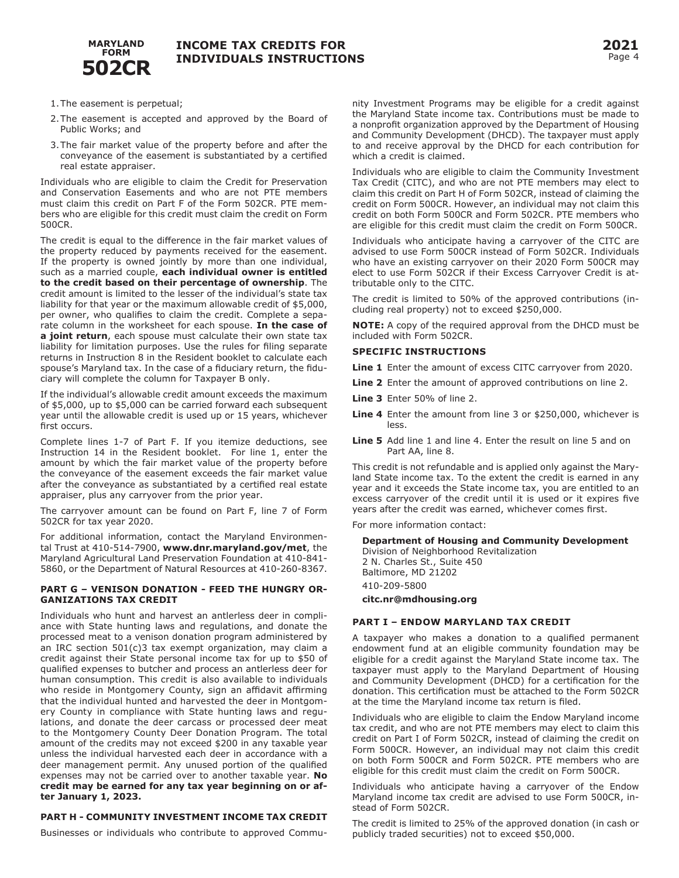

- 1.The easement is perpetual;
- 2.The easement is accepted and approved by the Board of Public Works; and
- 3.The fair market value of the property before and after the conveyance of the easement is substantiated by a certified real estate appraiser.

Individuals who are eligible to claim the Credit for Preservation and Conservation Easements and who are not PTE members must claim this credit on Part F of the Form 502CR. PTE members who are eligible for this credit must claim the credit on Form 500CR.

The credit is equal to the difference in the fair market values of the property reduced by payments received for the easement. If the property is owned jointly by more than one individual, such as a married couple, **each individual owner is entitled to the credit based on their percentage of ownership**. The credit amount is limited to the lesser of the individual's state tax liability for that year or the maximum allowable credit of \$5,000, per owner, who qualifies to claim the credit. Complete a separate column in the worksheet for each spouse. **In the case of a joint return**, each spouse must calculate their own state tax liability for limitation purposes. Use the rules for filing separate returns in Instruction 8 in the Resident booklet to calculate each spouse's Maryland tax. In the case of a fiduciary return, the fiduciary will complete the column for Taxpayer B only.

If the individual's allowable credit amount exceeds the maximum of \$5,000, up to \$5,000 can be carried forward each subsequent year until the allowable credit is used up or 15 years, whichever first occurs.

Complete lines 1-7 of Part F. If you itemize deductions, see Instruction 14 in the Resident booklet. For line 1, enter the amount by which the fair market value of the property before the conveyance of the easement exceeds the fair market value after the conveyance as substantiated by a certified real estate appraiser, plus any carryover from the prior year.

The carryover amount can be found on Part F, line 7 of Form 502CR for tax year 2020.

For additional information, contact the Maryland Environmental Trust at 410-514-7900, **www.dnr.maryland.gov/met**, the Maryland Agricultural Land Preservation Foundation at 410-841- 5860, or the Department of Natural Resources at 410-260-8367.

#### **PART G – VENISON DONATION - FEED THE HUNGRY OR-GANIZATIONS TAX CREDIT**

Individuals who hunt and harvest an antlerless deer in compliance with State hunting laws and regulations, and donate the processed meat to a venison donation program administered by an IRC section 501(c)3 tax exempt organization, may claim a credit against their State personal income tax for up to \$50 of qualified expenses to butcher and process an antlerless deer for human consumption. This credit is also available to individuals who reside in Montgomery County, sign an affidavit affirming that the individual hunted and harvested the deer in Montgomery County in compliance with State hunting laws and regulations, and donate the deer carcass or processed deer meat to the Montgomery County Deer Donation Program. The total amount of the credits may not exceed \$200 in any taxable year unless the individual harvested each deer in accordance with a deer management permit. Any unused portion of the qualified expenses may not be carried over to another taxable year. **No credit may be earned for any tax year beginning on or after January 1, 2023.**

### **PART H - COMMUNITY INVESTMENT INCOME TAX CREDIT**

Businesses or individuals who contribute to approved Commu-

nity Investment Programs may be eligible for a credit against the Maryland State income tax. Contributions must be made to a nonprofit organization approved by the Department of Housing and Community Development (DHCD). The taxpayer must apply to and receive approval by the DHCD for each contribution for which a credit is claimed.

Individuals who are eligible to claim the Community Investment Tax Credit (CITC), and who are not PTE members may elect to claim this credit on Part H of Form 502CR, instead of claiming the credit on Form 500CR. However, an individual may not claim this credit on both Form 500CR and Form 502CR. PTE members who are eligible for this credit must claim the credit on Form 500CR.

Individuals who anticipate having a carryover of the CITC are advised to use Form 500CR instead of Form 502CR. Individuals who have an existing carryover on their 2020 Form 500CR may elect to use Form 502CR if their Excess Carryover Credit is attributable only to the CITC.

The credit is limited to 50% of the approved contributions (including real property) not to exceed \$250,000.

**NOTE:** A copy of the required approval from the DHCD must be included with Form 502CR.

#### **SPECIFIC INSTRUCTIONS**

**Line 1** Enter the amount of excess CITC carryover from 2020.

- **Line 2** Enter the amount of approved contributions on line 2.
- **Line 3** Enter 50% of line 2.
- **Line 4** Enter the amount from line 3 or \$250,000, whichever is less.
- **Line 5** Add line 1 and line 4. Enter the result on line 5 and on Part AA, line 8.

This credit is not refundable and is applied only against the Maryland State income tax. To the extent the credit is earned in any year and it exceeds the State income tax, you are entitled to an excess carryover of the credit until it is used or it expires five years after the credit was earned, whichever comes first.

For more information contact:

**Department of Housing and Community Development**

Division of Neighborhood Revitalization 2 N. Charles St., Suite 450 Baltimore, MD 21202 410-209-5800 **citc.nr@mdhousing.org** 

#### **PART I – ENDOW MARYLAND TAX CREDIT**

A taxpayer who makes a donation to a qualified permanent endowment fund at an eligible community foundation may be eligible for a credit against the Maryland State income tax. The taxpayer must apply to the Maryland Department of Housing and Community Development (DHCD) for a certification for the donation. This certification must be attached to the Form 502CR at the time the Maryland income tax return is filed.

Individuals who are eligible to claim the Endow Maryland income tax credit, and who are not PTE members may elect to claim this credit on Part I of Form 502CR, instead of claiming the credit on Form 500CR. However, an individual may not claim this credit on both Form 500CR and Form 502CR. PTE members who are eligible for this credit must claim the credit on Form 500CR.

Individuals who anticipate having a carryover of the Endow Maryland income tax credit are advised to use Form 500CR, instead of Form 502CR.

The credit is limited to 25% of the approved donation (in cash or publicly traded securities) not to exceed \$50,000.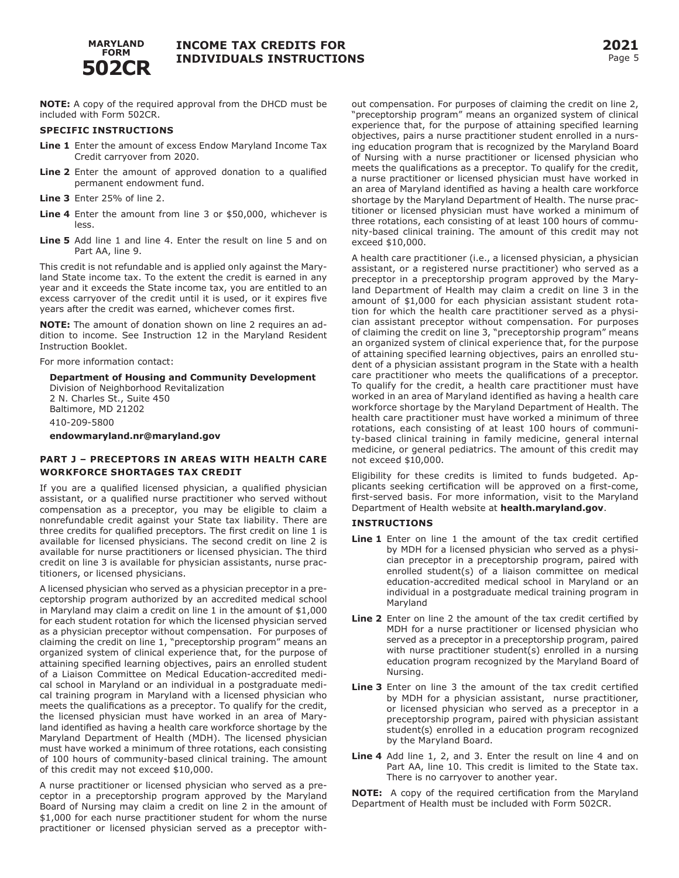

**NOTE:** A copy of the required approval from the DHCD must be included with Form 502CR.

#### **SPECIFIC INSTRUCTIONS**

- **Line 1** Enter the amount of excess Endow Maryland Income Tax Credit carryover from 2020.
- **Line 2** Enter the amount of approved donation to a qualified permanent endowment fund.
- **Line 3** Enter 25% of line 2.
- **Line 4** Enter the amount from line 3 or \$50,000, whichever is less.
- **Line 5** Add line 1 and line 4. Enter the result on line 5 and on Part AA, line 9.

This credit is not refundable and is applied only against the Maryland State income tax. To the extent the credit is earned in any year and it exceeds the State income tax, you are entitled to an excess carryover of the credit until it is used, or it expires five years after the credit was earned, whichever comes first.

**NOTE:** The amount of donation shown on line 2 requires an addition to income. See Instruction 12 in the Maryland Resident Instruction Booklet.

For more information contact:

#### **Department of Housing and Community Development** Division of Neighborhood Revitalization 2 N. Charles St., Suite 450 Baltimore, MD 21202

410-209-5800

**endowmaryland.nr@maryland.gov**

#### **PART J – PRECEPTORS IN AREAS WITH HEALTH CARE WORKFORCE SHORTAGES TAX CREDIT**

If you are a qualified licensed physician, a qualified physician assistant, or a qualified nurse practitioner who served without compensation as a preceptor, you may be eligible to claim a nonrefundable credit against your State tax liability. There are three credits for qualified preceptors. The first credit on line 1 is available for licensed physicians. The second credit on line 2 is available for nurse practitioners or licensed physician. The third credit on line 3 is available for physician assistants, nurse practitioners, or licensed physicians.

A licensed physician who served as a physician preceptor in a preceptorship program authorized by an accredited medical school in Maryland may claim a credit on line 1 in the amount of \$1,000 for each student rotation for which the licensed physician served as a physician preceptor without compensation. For purposes of claiming the credit on line 1, "preceptorship program" means an organized system of clinical experience that, for the purpose of attaining specified learning objectives, pairs an enrolled student of a Liaison Committee on Medical Education-accredited medical school in Maryland or an individual in a postgraduate medical training program in Maryland with a licensed physician who meets the qualifications as a preceptor. To qualify for the credit, the licensed physician must have worked in an area of Maryland identified as having a health care workforce shortage by the Maryland Department of Health (MDH). The licensed physician must have worked a minimum of three rotations, each consisting of 100 hours of community-based clinical training. The amount of this credit may not exceed \$10,000.

A nurse practitioner or licensed physician who served as a preceptor in a preceptorship program approved by the Maryland Board of Nursing may claim a credit on line 2 in the amount of \$1,000 for each nurse practitioner student for whom the nurse practitioner or licensed physician served as a preceptor without compensation. For purposes of claiming the credit on line 2, "preceptorship program" means an organized system of clinical experience that, for the purpose of attaining specified learning objectives, pairs a nurse practitioner student enrolled in a nursing education program that is recognized by the Maryland Board of Nursing with a nurse practitioner or licensed physician who meets the qualifications as a preceptor. To qualify for the credit, a nurse practitioner or licensed physician must have worked in an area of Maryland identified as having a health care workforce shortage by the Maryland Department of Health. The nurse practitioner or licensed physician must have worked a minimum of three rotations, each consisting of at least 100 hours of community-based clinical training. The amount of this credit may not exceed \$10,000.

A health care practitioner (i.e., a licensed physician, a physician assistant, or a registered nurse practitioner) who served as a preceptor in a preceptorship program approved by the Maryland Department of Health may claim a credit on line 3 in the amount of \$1,000 for each physician assistant student rotation for which the health care practitioner served as a physician assistant preceptor without compensation. For purposes of claiming the credit on line 3, "preceptorship program" means an organized system of clinical experience that, for the purpose of attaining specified learning objectives, pairs an enrolled student of a physician assistant program in the State with a health care practitioner who meets the qualifications of a preceptor. To qualify for the credit, a health care practitioner must have worked in an area of Maryland identified as having a health care workforce shortage by the Maryland Department of Health. The health care practitioner must have worked a minimum of three rotations, each consisting of at least 100 hours of community-based clinical training in family medicine, general internal medicine, or general pediatrics. The amount of this credit may not exceed \$10,000.

Eligibility for these credits is limited to funds budgeted. Applicants seeking certification will be approved on a first-come, first-served basis. For more information, visit to the Maryland Department of Health website at **health.maryland.gov**.

#### **INSTRUCTIONS**

- **Line 1** Enter on line 1 the amount of the tax credit certified by MDH for a licensed physician who served as a physician preceptor in a preceptorship program, paired with enrolled student(s) of a liaison committee on medical education-accredited medical school in Maryland or an individual in a postgraduate medical training program in Maryland
- **Line 2** Enter on line 2 the amount of the tax credit certified by MDH for a nurse practitioner or licensed physician who served as a preceptor in a preceptorship program, paired with nurse practitioner student(s) enrolled in a nursing education program recognized by the Maryland Board of Nursing.
- **Line 3** Enter on line 3 the amount of the tax credit certified by MDH for a physician assistant, nurse practitioner, or licensed physician who served as a preceptor in a preceptorship program, paired with physician assistant student(s) enrolled in a education program recognized by the Maryland Board.
- **Line 4** Add line 1, 2, and 3. Enter the result on line 4 and on Part AA, line 10. This credit is limited to the State tax. There is no carryover to another year.

**NOTE:** A copy of the required certification from the Maryland Department of Health must be included with Form 502CR.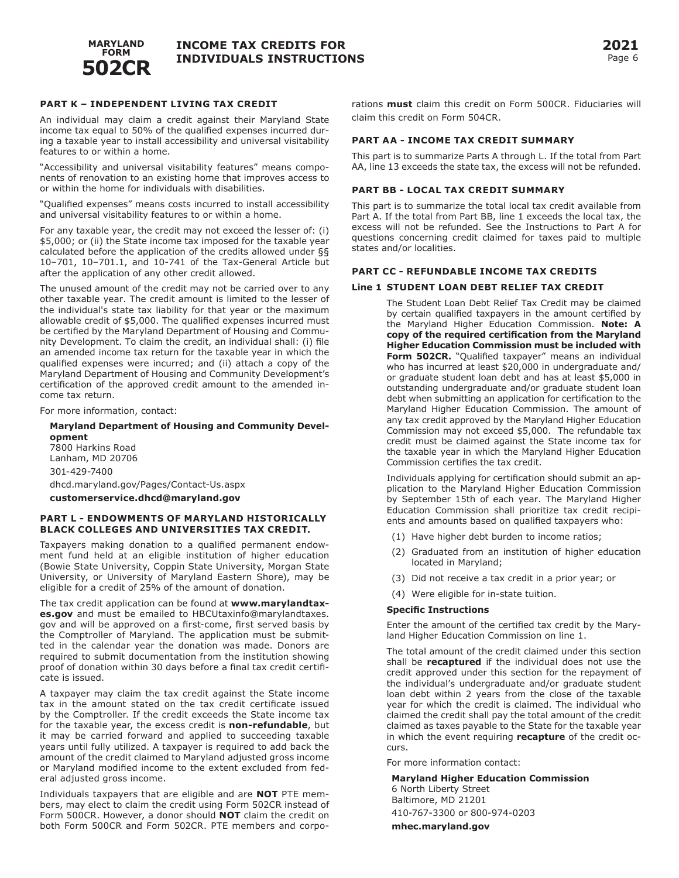

### **PART K – INDEPENDENT LIVING TAX CREDIT**

An individual may claim a credit against their Maryland State income tax equal to 50% of the qualified expenses incurred during a taxable year to install accessibility and universal visitability features to or within a home.

"Accessibility and universal visitability features" means components of renovation to an existing home that improves access to or within the home for individuals with disabilities.

"Qualified expenses" means costs incurred to install accessibility and universal visitability features to or within a home.

For any taxable year, the credit may not exceed the lesser of: (i) \$5,000; or (ii) the State income tax imposed for the taxable year calculated before the application of the credits allowed under §§ 10–701, 10–701.1, and 10-741 of the Tax-General Article but after the application of any other credit allowed.

The unused amount of the credit may not be carried over to any other taxable year. The credit amount is limited to the lesser of the individual's state tax liability for that year or the maximum allowable credit of \$5,000. The qualified expenses incurred must be certified by the Maryland Department of Housing and Community Development. To claim the credit, an individual shall: (i) file an amended income tax return for the taxable year in which the qualified expenses were incurred; and (ii) attach a copy of the Maryland Department of Housing and Community Development's certification of the approved credit amount to the amended income tax return.

For more information, contact:

#### **Maryland Department of Housing and Community Development** 7800 Harkins Road Lanham, MD 20706 301-429-7400 dhcd.maryland.gov/Pages/Contact-Us.aspx **customerservice.dhcd@maryland.gov**

#### **PART L - ENDOWMENTS OF MARYLAND HISTORICALLY BLACK COLLEGES AND UNIVERSITIES TAX CREDIT.**

Taxpayers making donation to a qualified permanent endowment fund held at an eligible institution of higher education (Bowie State University, Coppin State University, Morgan State University, or University of Maryland Eastern Shore), may be eligible for a credit of 25% of the amount of donation.

The tax credit application can be found at **www.marylandtaxes.gov** and must be emailed to HBCUtaxinfo@marylandtaxes. gov and will be approved on a first-come, first served basis by the Comptroller of Maryland. The application must be submitted in the calendar year the donation was made. Donors are required to submit documentation from the institution showing proof of donation within 30 days before a final tax credit certificate is issued.

A taxpayer may claim the tax credit against the State income tax in the amount stated on the tax credit certificate issued by the Comptroller. If the credit exceeds the State income tax for the taxable year, the excess credit is **non-refundable**, but it may be carried forward and applied to succeeding taxable years until fully utilized. A taxpayer is required to add back the amount of the credit claimed to Maryland adjusted gross income or Maryland modified income to the extent excluded from federal adjusted gross income.

Individuals taxpayers that are eligible and are **NOT** PTE members, may elect to claim the credit using Form 502CR instead of Form 500CR. However, a donor should **NOT** claim the credit on both Form 500CR and Form 502CR. PTE members and corpo-

rations **must** claim this credit on Form 500CR. Fiduciaries will claim this credit on Form 504CR.

#### **PART AA - INCOME TAX CREDIT SUMMARY**

This part is to summarize Parts A through L. If the total from Part AA, line 13 exceeds the state tax, the excess will not be refunded.

#### **PART BB - LOCAL TAX CREDIT SUMMARY**

This part is to summarize the total local tax credit available from Part A. If the total from Part BB, line 1 exceeds the local tax, the excess will not be refunded. See the Instructions to Part A for questions concerning credit claimed for taxes paid to multiple states and/or localities.

#### **PART CC - REFUNDABLE INCOME TAX CREDITS**

#### **Line 1 STUDENT LOAN DEBT RELIEF TAX CREDIT**

The Student Loan Debt Relief Tax Credit may be claimed by certain qualified taxpayers in the amount certified by the Maryland Higher Education Commission. **Note: A copy of the required certification from the Maryland Higher Education Commission must be included with**  Form 502CR. "Qualified taxpayer" means an individual who has incurred at least \$20,000 in undergraduate and/ or graduate student loan debt and has at least \$5,000 in outstanding undergraduate and/or graduate student loan debt when submitting an application for certification to the Maryland Higher Education Commission. The amount of any tax credit approved by the Maryland Higher Education Commission may not exceed \$5,000. The refundable tax credit must be claimed against the State income tax for the taxable year in which the Maryland Higher Education Commission certifies the tax credit.

Individuals applying for certification should submit an application to the Maryland Higher Education Commission by September 15th of each year. The Maryland Higher Education Commission shall prioritize tax credit recipients and amounts based on qualified taxpayers who:

- (1) Have higher debt burden to income ratios;
- (2) Graduated from an institution of higher education located in Maryland;
- (3) Did not receive a tax credit in a prior year; or
- (4) Were eligible for in-state tuition.

#### **Specific Instructions**

Enter the amount of the certified tax credit by the Maryland Higher Education Commission on line 1.

The total amount of the credit claimed under this section shall be **recaptured** if the individual does not use the credit approved under this section for the repayment of the individual's undergraduate and/or graduate student loan debt within 2 years from the close of the taxable year for which the credit is claimed. The individual who claimed the credit shall pay the total amount of the credit claimed as taxes payable to the State for the taxable year in which the event requiring **recapture** of the credit occurs.

For more information contact:

**Maryland Higher Education Commission** 6 North Liberty Street Baltimore, MD 21201 410-767-3300 or 800-974-0203 **mhec.maryland.gov**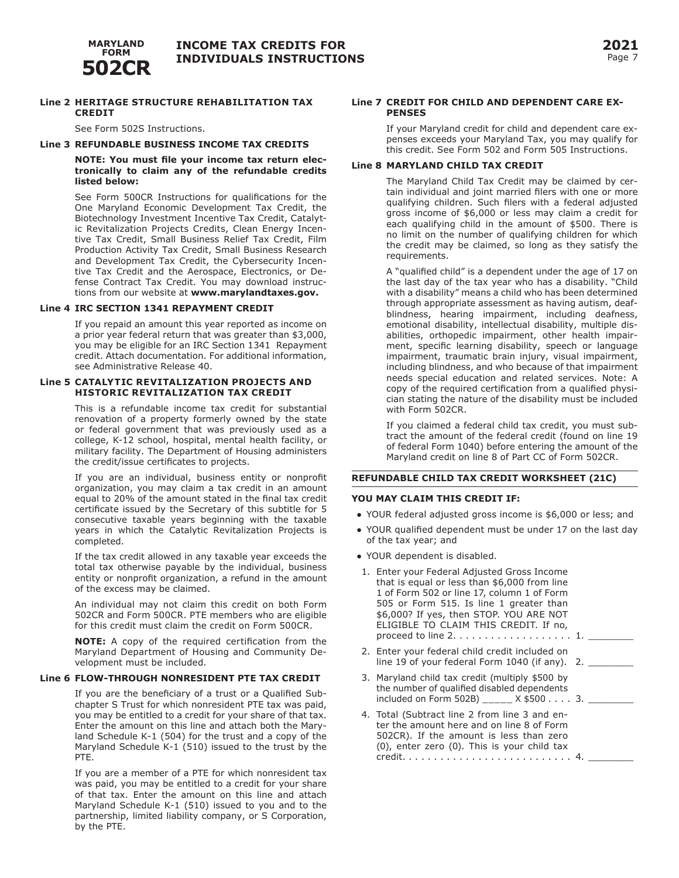

#### **Line 2 HERITAGE STRUCTURE REHABILITATION TAX CREDIT**

See Form 502S Instructions.

#### **Line 3 REFUNDABLE BUSINESS INCOME TAX CREDITS**

#### **NOTE: You must file your income tax return electronically to claim any of the refundable credits listed below:**

See Form 500CR Instructions for qualifications for the One Maryland Economic Development Tax Credit, the Biotechnology Investment Incentive Tax Credit, Catalytic Revitalization Projects Credits, Clean Energy Incentive Tax Credit, Small Business Relief Tax Credit, Film Production Activity Tax Credit, Small Business Research and Development Tax Credit, the Cybersecurity Incentive Tax Credit and the Aerospace, Electronics, or Defense Contract Tax Credit. You may download instructions from our website at **www.marylandtaxes.gov.**

#### **Line 4 IRC SECTION 1341 REPAYMENT CREDIT**

If you repaid an amount this year reported as income on a prior year federal return that was greater than \$3,000, you may be eligible for an IRC Section 1341 Repayment credit. Attach documentation. For additional information, see Administrative Release 40.

#### **Line 5 CATALYTIC REVITALIZATION PROJECTS AND HISTORIC REVITALIZATION TAX CREDIT**

This is a refundable income tax credit for substantial renovation of a property formerly owned by the state or federal government that was previously used as a college, K-12 school, hospital, mental health facility, or military facility. The Department of Housing administers the credit/issue certificates to projects.

If you are an individual, business entity or nonprofit organization, you may claim a tax credit in an amount equal to 20% of the amount stated in the final tax credit certificate issued by the Secretary of this subtitle for 5 consecutive taxable years beginning with the taxable years in which the Catalytic Revitalization Projects is completed.

If the tax credit allowed in any taxable year exceeds the total tax otherwise payable by the individual, business entity or nonprofit organization, a refund in the amount of the excess may be claimed.

An individual may not claim this credit on both Form 502CR and Form 500CR. PTE members who are eligible for this credit must claim the credit on Form 500CR.

**NOTE:** A copy of the required certification from the Maryland Department of Housing and Community Development must be included.

#### **Line 6 FLOW-THROUGH NONRESIDENT PTE TAX CREDIT**

If you are the beneficiary of a trust or a Qualified Subchapter S Trust for which nonresident PTE tax was paid, you may be entitled to a credit for your share of that tax. Enter the amount on this line and attach both the Maryland Schedule K-1 (504) for the trust and a copy of the Maryland Schedule K-1 (510) issued to the trust by the PTE.

If you are a member of a PTE for which nonresident tax was paid, you may be entitled to a credit for your share of that tax. Enter the amount on this line and attach Maryland Schedule K-1 (510) issued to you and to the partnership, limited liability company, or S Corporation, by the PTE.

#### **Line 7 CREDIT FOR CHILD AND DEPENDENT CARE EX-PENSES**

If your Maryland credit for child and dependent care expenses exceeds your Maryland Tax, you may qualify for this credit. See Form 502 and Form 505 Instructions.

#### **Line 8 MARYLAND CHILD TAX CREDIT**

The Maryland Child Tax Credit may be claimed by certain individual and joint married filers with one or more qualifying children. Such filers with a federal adjusted gross income of \$6,000 or less may claim a credit for each qualifying child in the amount of \$500. There is no limit on the number of qualifying children for which the credit may be claimed, so long as they satisfy the requirements.

A "qualified child" is a dependent under the age of 17 on the last day of the tax year who has a disability. "Child with a disability" means a child who has been determined through appropriate assessment as having autism, deafblindness, hearing impairment, including deafness, emotional disability, intellectual disability, multiple disabilities, orthopedic impairment, other health impairment, specific learning disability, speech or language impairment, traumatic brain injury, visual impairment, including blindness, and who because of that impairment needs special education and related services. Note: A copy of the required certification from a qualified physician stating the nature of the disability must be included with Form 502CR.

If you claimed a federal child tax credit, you must subtract the amount of the federal credit (found on line 19 of federal Form 1040) before entering the amount of the Maryland credit on line 8 of Part CC of Form 502CR.

#### **REFUNDABLE CHILD TAX CREDIT WORKSHEET (21C)**

#### **YOU MAY CLAIM THIS CREDIT IF:**

- YOUR federal adjusted gross income is \$6,000 or less; and
- YOUR qualified dependent must be under 17 on the last day of the tax year; and
- YOUR dependent is disabled.
- 1. Enter your Federal Adjusted Gross Income that is equal or less than \$6,000 from line 1 of Form 502 or line 17, column 1 of Form 505 or Form 515. Is line 1 greater than \$6,000? If yes, then STOP. YOU ARE NOT ELIGIBLE TO CLAIM THIS CREDIT. If no, proceed to line  $2. \ldots \ldots \ldots \ldots \ldots 1.$ 2. Enter your federal child credit included on
- line 19 of your federal Form  $1040$  (if any). 2.
- 3. Maryland child tax credit (multiply \$500 by the number of qualified disabled dependents included on Form 502B) \_\_\_\_\_\_  $X$  \$500 . . . . 3.
- 4. Total (Subtract line 2 from line 3 and enter the amount here and on line 8 of Form 502CR). If the amount is less than zero (0), enter zero (0). This is your child tax credit.. . . 4. \_\_\_\_\_\_\_\_